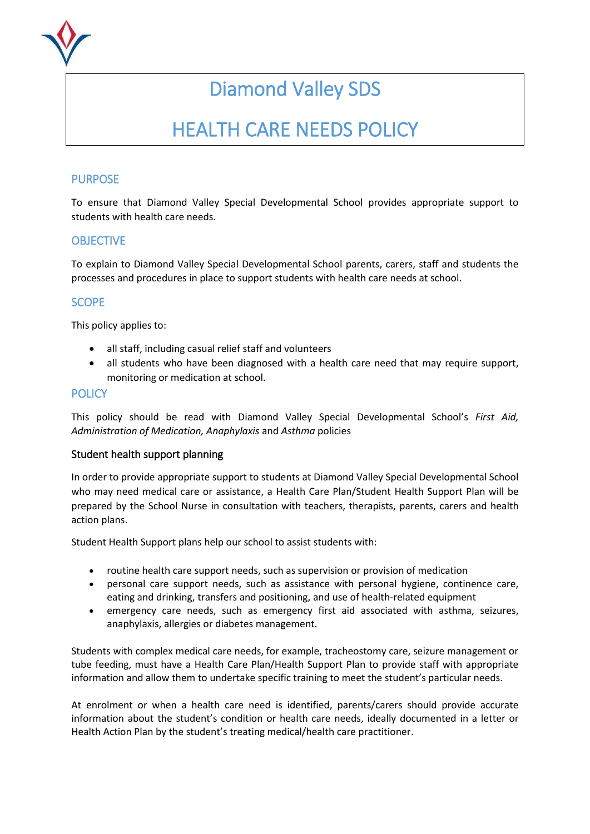

# Diamond Valley SDS

# HEALTH CARE NEEDS POLICY

## PURPOSE

To ensure that Diamond Valley Special Developmental School provides appropriate support to students with health care needs.

### **OBJECTIVE**

To explain to Diamond Valley Special Developmental School parents, carers, staff and students the processes and procedures in place to support students with health care needs at school.

# **SCOPE**

This policy applies to:

- all staff, including casual relief staff and volunteers
- all students who have been diagnosed with a health care need that may require support, monitoring or medication at school.

### **POLICY**

This policy should be read with Diamond Valley Special Developmental School's *First Aid, Administration of Medication, Anaphylaxis* and *Asthma* policies

#### Student health support planning

In order to provide appropriate support to students at Diamond Valley Special Developmental School who may need medical care or assistance, a Health Care Plan/Student Health Support Plan will be prepared by the School Nurse in consultation with teachers, therapists, parents, carers and health action plans.

Student Health Support plans help our school to assist students with:

- routine health care support needs, such as supervision or provision of medication
- personal care support needs, such as assistance with personal hygiene, continence care, eating and drinking, transfers and positioning, and use of health-related equipment
- emergency care needs, such as emergency first aid associated with asthma, seizures, anaphylaxis, allergies or diabetes management.

Students with complex medical care needs, for example, tracheostomy care, seizure management or tube feeding, must have a Health Care Plan/Health Support Plan to provide staff with appropriate information and allow them to undertake specific training to meet the student's particular needs.

At enrolment or when a health care need is identified, parents/carers should provide accurate information about the student's condition or health care needs, ideally documented in a letter or Health Action Plan by the student's treating medical/health care practitioner.